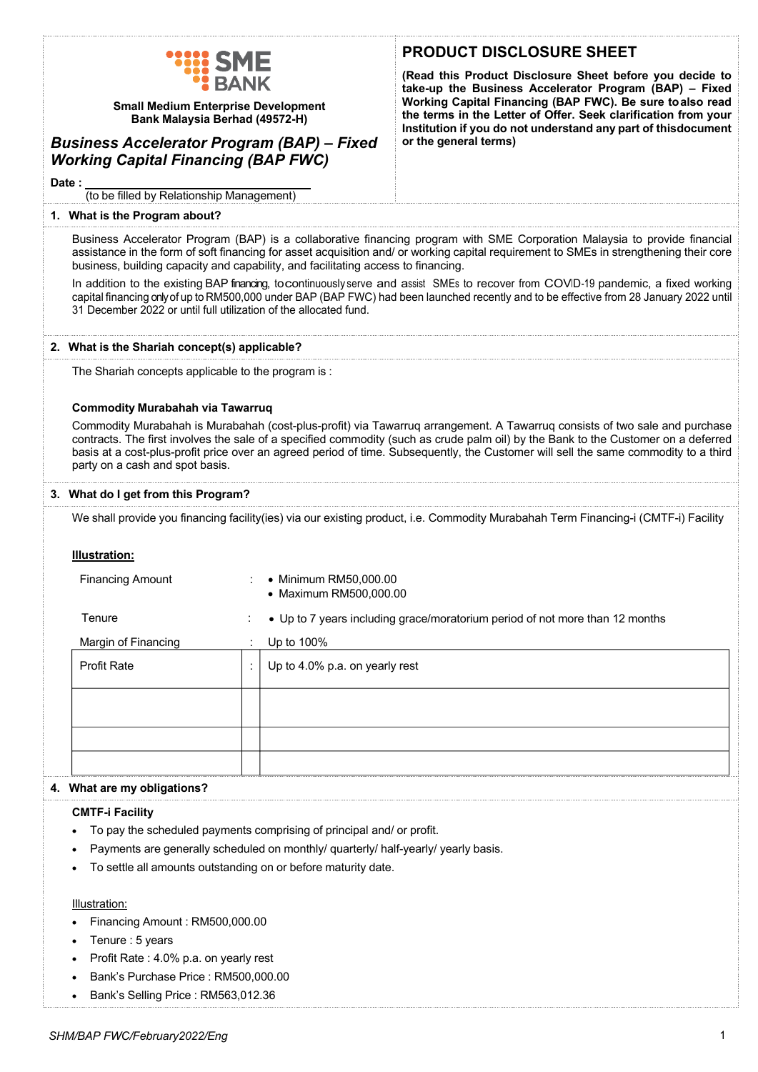| <u>WILL SME</u> |
|-----------------|
| <b>:</b> BANK   |

**Small Medium Enterprise Development Bank Malaysia Berhad (49572-H)**

# *Business Accelerator Program (BAP) – Fixed Working Capital Financing (BAP FWC)*

# **PRODUCT DISCLOSURE SHEET**

**(Read this Product Disclosure Sheet before you decide to take-up the Business Accelerator Program (BAP) – Fixed Working Capital Financing (BAP FWC). Be sure to also read the terms in the Letter of Offer. Seek clarification from your Institution if you do not understand any part of thisdocument or the general terms)**

**Date :**

(to be filled by Relationship Management)

#### **1. What is the Program about?**

Business Accelerator Program (BAP) is a collaborative financing program with SME Corporation Malaysia to provide financial assistance in the form of soft financing for asset acquisition and/ or working capital requirement to SMEs in strengthening their core business, building capacity and capability, and facilitating access to financing.

In addition to the existing BAP financing, to continuously serve and assist SMEs to recover from COVID-19 pandemic, a fixed working capital financing only of up to RM500,000 under BAP (BAP FWC) had been launched recently and to be effective from 28 January 2022 until 31 December 2022 or until full utilization of the allocated fund.

# **2. What is the Shariah concept(s) applicable?**

The Shariah concepts applicable to the program is :

## **Commodity Murabahah via Tawarruq**

Commodity Murabahah is Murabahah (cost-plus-profit) via Tawarruq arrangement. A Tawarruq consists of two sale and purchase contracts. The first involves the sale of a specified commodity (such as crude palm oil) by the Bank to the Customer on a deferred basis at a cost-plus-profit price over an agreed period of time. Subsequently, the Customer will sell the same commodity to a third party on a cash and spot basis.

#### **3. What do I get from this Program?**

We shall provide you financing facility(ies) via our existing product, i.e. Commodity Murabahah Term Financing-i (CMTF-i) Facility

## **Illustration:**

| <b>Financing Amount</b> |              | • Minimum RM50,000.00<br>• Maximum RM500,000.00                              |
|-------------------------|--------------|------------------------------------------------------------------------------|
| Tenure                  | $\sim$       | • Up to 7 years including grace/moratorium period of not more than 12 months |
| Margin of Financing     | $\mathbf{r}$ | Up to 100%                                                                   |
| <b>Profit Rate</b>      |              | Up to 4.0% p.a. on yearly rest                                               |
|                         |              |                                                                              |
|                         |              |                                                                              |
|                         |              |                                                                              |

# **4. What are my obligations?**

## **CMTF-i Facility**

- To pay the scheduled payments comprising of principal and/ or profit.
- Payments are generally scheduled on monthly/ quarterly/ half-yearly/ yearly basis.
- To settle all amounts outstanding on or before maturity date.

## Illustration:

- Financing Amount : RM500,000.00
- Tenure : 5 years
- Profit Rate : 4.0% p.a. on yearly rest
- Bank's Purchase Price : RM500,000.00
- Bank's Selling Price : RM563,012.36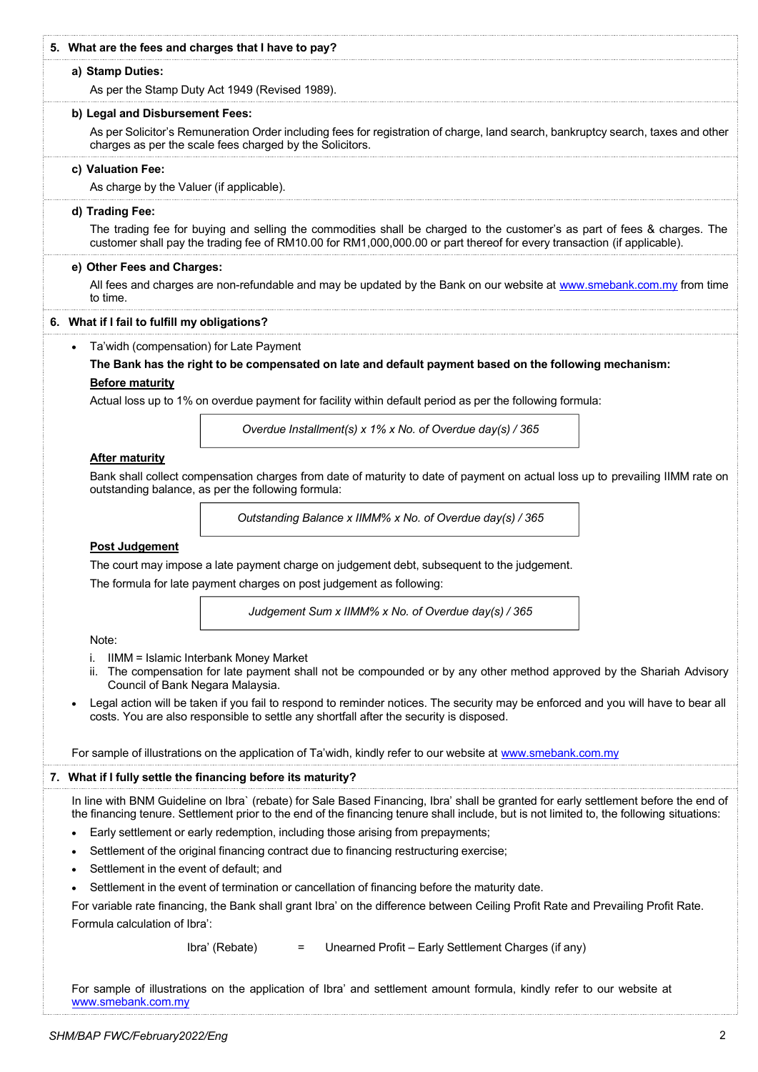| 5. What are the fees and charges that I have to pay?                                                                                                                                                                                                                   |  |  |
|------------------------------------------------------------------------------------------------------------------------------------------------------------------------------------------------------------------------------------------------------------------------|--|--|
|                                                                                                                                                                                                                                                                        |  |  |
| a) Stamp Duties:                                                                                                                                                                                                                                                       |  |  |
| As per the Stamp Duty Act 1949 (Revised 1989).                                                                                                                                                                                                                         |  |  |
| b) Legal and Disbursement Fees:                                                                                                                                                                                                                                        |  |  |
| As per Solicitor's Remuneration Order including fees for registration of charge, land search, bankruptcy search, taxes and other<br>charges as per the scale fees charged by the Solicitors.                                                                           |  |  |
| c) Valuation Fee:                                                                                                                                                                                                                                                      |  |  |
| As charge by the Valuer (if applicable).                                                                                                                                                                                                                               |  |  |
| d) Trading Fee:<br>The trading fee for buying and selling the commodities shall be charged to the customer's as part of fees & charges. The<br>customer shall pay the trading fee of RM10.00 for RM1,000,000.00 or part thereof for every transaction (if applicable). |  |  |
| e) Other Fees and Charges:                                                                                                                                                                                                                                             |  |  |
| All fees and charges are non-refundable and may be updated by the Bank on our website at www.smebank.com.my from time<br>to time.                                                                                                                                      |  |  |
| 6. What if I fail to fulfill my obligations?                                                                                                                                                                                                                           |  |  |
| Ta'widh (compensation) for Late Payment<br>$\bullet$                                                                                                                                                                                                                   |  |  |
| The Bank has the right to be compensated on late and default payment based on the following mechanism:                                                                                                                                                                 |  |  |
| <b>Before maturity</b>                                                                                                                                                                                                                                                 |  |  |
| Actual loss up to 1% on overdue payment for facility within default period as per the following formula:                                                                                                                                                               |  |  |
| Overdue Installment(s) x 1% x No. of Overdue day(s) / 365                                                                                                                                                                                                              |  |  |
| <b>After maturity</b>                                                                                                                                                                                                                                                  |  |  |
| Bank shall collect compensation charges from date of maturity to date of payment on actual loss up to prevailing IIMM rate on<br>outstanding balance, as per the following formula:                                                                                    |  |  |
| Outstanding Balance x IIMM% x No. of Overdue day(s) / 365                                                                                                                                                                                                              |  |  |
| <b>Post Judgement</b>                                                                                                                                                                                                                                                  |  |  |
| The court may impose a late payment charge on judgement debt, subsequent to the judgement.                                                                                                                                                                             |  |  |
| The formula for late payment charges on post judgement as following:                                                                                                                                                                                                   |  |  |
| Judgement Sum x IIMM% x No. of Overdue day(s) / 365                                                                                                                                                                                                                    |  |  |
| Note:                                                                                                                                                                                                                                                                  |  |  |
| IIMM = Islamic Interbank Money Market<br>i.<br>The compensation for late payment shall not be compounded or by any other method approved by the Shariah Advisory<br>ii.<br>Council of Bank Negara Malaysia.                                                            |  |  |
| Legal action will be taken if you fail to respond to reminder notices. The security may be enforced and you will have to bear all<br>$\bullet$<br>costs. You are also responsible to settle any shortfall after the security is disposed.                              |  |  |
| For sample of illustrations on the application of Ta'widh, kindly refer to our website at www.smebank.com.my                                                                                                                                                           |  |  |
| 7. What if I fully settle the financing before its maturity?                                                                                                                                                                                                           |  |  |
| In line with BNM Guideline on Ibra` (rebate) for Sale Based Financing, Ibra' shall be granted for early settlement before the end of                                                                                                                                   |  |  |
| the financing tenure. Settlement prior to the end of the financing tenure shall include, but is not limited to, the following situations:                                                                                                                              |  |  |
| Early settlement or early redemption, including those arising from prepayments;<br>$\bullet$                                                                                                                                                                           |  |  |
| Settlement of the original financing contract due to financing restructuring exercise;<br>$\bullet$                                                                                                                                                                    |  |  |
| Settlement in the event of default; and<br>$\bullet$                                                                                                                                                                                                                   |  |  |
| Settlement in the event of termination or cancellation of financing before the maturity date.                                                                                                                                                                          |  |  |
| For variable rate financing, the Bank shall grant Ibra' on the difference between Ceiling Profit Rate and Prevailing Profit Rate.                                                                                                                                      |  |  |
| Formula calculation of Ibra':                                                                                                                                                                                                                                          |  |  |
| Ibra' (Rebate)<br>Unearned Profit - Early Settlement Charges (if any)<br>$\qquad \qquad =$                                                                                                                                                                             |  |  |
| For sample of illustrations on the application of Ibra' and settlement amount formula, kindly refer to our website at<br>www.smebank.com.my                                                                                                                            |  |  |